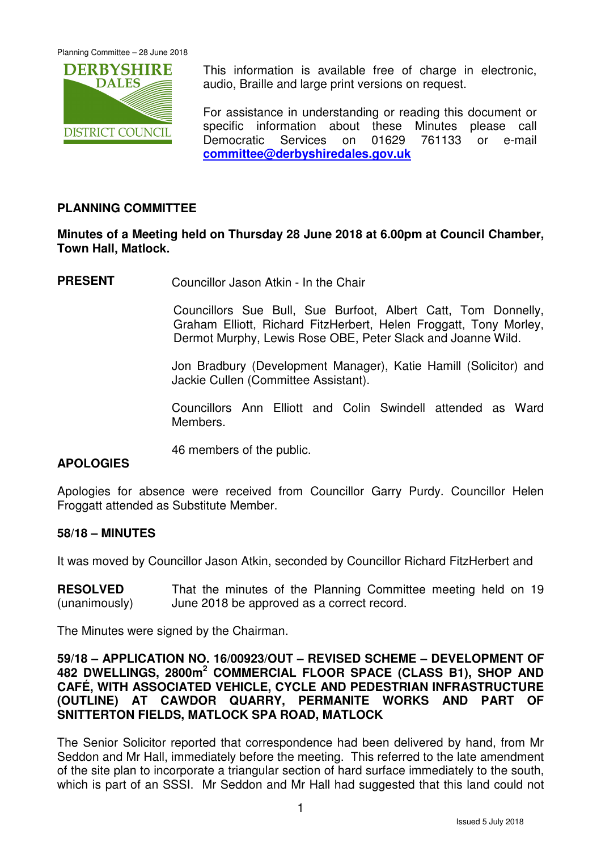

This information is available free of charge in electronic, audio, Braille and large print versions on request.

For assistance in understanding or reading this document or specific information about these Minutes please call Democratic Services on 01629 761133 or e-mail **committee@derbyshiredales.gov.uk**

# **PLANNING COMMITTEE**

# **Minutes of a Meeting held on Thursday 28 June 2018 at 6.00pm at Council Chamber, Town Hall, Matlock.**

**PRESENT** Councillor Jason Atkin - In the Chair

 Councillors Sue Bull, Sue Burfoot, Albert Catt, Tom Donnelly, Graham Elliott, Richard FitzHerbert, Helen Froggatt, Tony Morley, Dermot Murphy, Lewis Rose OBE, Peter Slack and Joanne Wild.

Jon Bradbury (Development Manager), Katie Hamill (Solicitor) and Jackie Cullen (Committee Assistant).

Councillors Ann Elliott and Colin Swindell attended as Ward Members.

46 members of the public.

# **APOLOGIES**

Apologies for absence were received from Councillor Garry Purdy. Councillor Helen Froggatt attended as Substitute Member.

## **58/18 – MINUTES**

It was moved by Councillor Jason Atkin, seconded by Councillor Richard FitzHerbert and

**RESOLVED** (unanimously) That the minutes of the Planning Committee meeting held on 19 June 2018 be approved as a correct record.

The Minutes were signed by the Chairman.

## **59/18 – APPLICATION NO. 16/00923/OUT – REVISED SCHEME – DEVELOPMENT OF 482 DWELLINGS, 2800m<sup>2</sup> COMMERCIAL FLOOR SPACE (CLASS B1), SHOP AND CAFÉ, WITH ASSOCIATED VEHICLE, CYCLE AND PEDESTRIAN INFRASTRUCTURE (OUTLINE) AT CAWDOR QUARRY, PERMANITE WORKS AND PART OF SNITTERTON FIELDS, MATLOCK SPA ROAD, MATLOCK**

The Senior Solicitor reported that correspondence had been delivered by hand, from Mr Seddon and Mr Hall, immediately before the meeting. This referred to the late amendment of the site plan to incorporate a triangular section of hard surface immediately to the south, which is part of an SSSI. Mr Seddon and Mr Hall had suggested that this land could not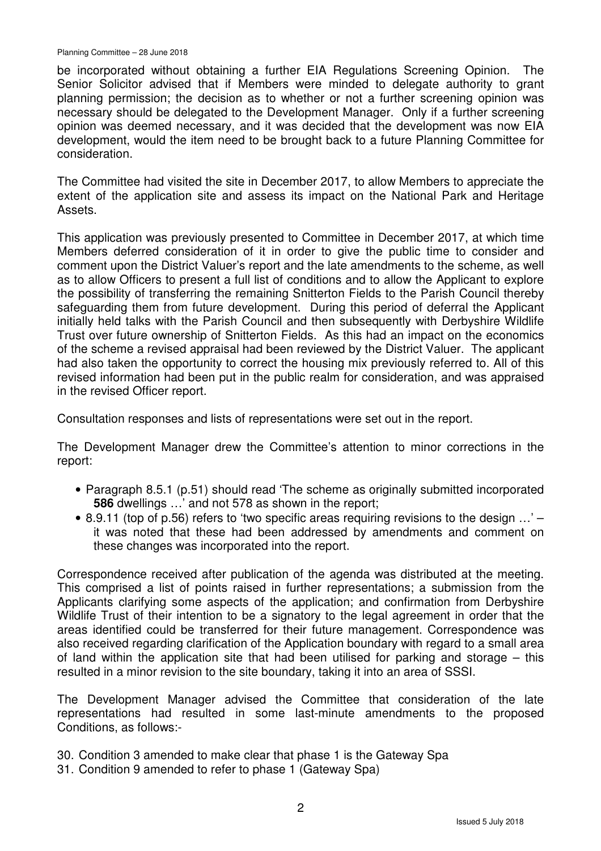be incorporated without obtaining a further EIA Regulations Screening Opinion. The Senior Solicitor advised that if Members were minded to delegate authority to grant planning permission; the decision as to whether or not a further screening opinion was necessary should be delegated to the Development Manager. Only if a further screening opinion was deemed necessary, and it was decided that the development was now EIA development, would the item need to be brought back to a future Planning Committee for consideration.

The Committee had visited the site in December 2017, to allow Members to appreciate the extent of the application site and assess its impact on the National Park and Heritage Assets.

This application was previously presented to Committee in December 2017, at which time Members deferred consideration of it in order to give the public time to consider and comment upon the District Valuer's report and the late amendments to the scheme, as well as to allow Officers to present a full list of conditions and to allow the Applicant to explore the possibility of transferring the remaining Snitterton Fields to the Parish Council thereby safeguarding them from future development. During this period of deferral the Applicant initially held talks with the Parish Council and then subsequently with Derbyshire Wildlife Trust over future ownership of Snitterton Fields. As this had an impact on the economics of the scheme a revised appraisal had been reviewed by the District Valuer. The applicant had also taken the opportunity to correct the housing mix previously referred to. All of this revised information had been put in the public realm for consideration, and was appraised in the revised Officer report.

Consultation responses and lists of representations were set out in the report.

The Development Manager drew the Committee's attention to minor corrections in the report:

- Paragraph 8.5.1 (p.51) should read 'The scheme as originally submitted incorporated **586** dwellings …' and not 578 as shown in the report;
- 8.9.11 (top of p.56) refers to 'two specific areas requiring revisions to the design  $\dots$ ' it was noted that these had been addressed by amendments and comment on these changes was incorporated into the report.

Correspondence received after publication of the agenda was distributed at the meeting. This comprised a list of points raised in further representations; a submission from the Applicants clarifying some aspects of the application; and confirmation from Derbyshire Wildlife Trust of their intention to be a signatory to the legal agreement in order that the areas identified could be transferred for their future management. Correspondence was also received regarding clarification of the Application boundary with regard to a small area of land within the application site that had been utilised for parking and storage – this resulted in a minor revision to the site boundary, taking it into an area of SSSI.

The Development Manager advised the Committee that consideration of the late representations had resulted in some last-minute amendments to the proposed Conditions, as follows:-

- 30. Condition 3 amended to make clear that phase 1 is the Gateway Spa
- 31. Condition 9 amended to refer to phase 1 (Gateway Spa)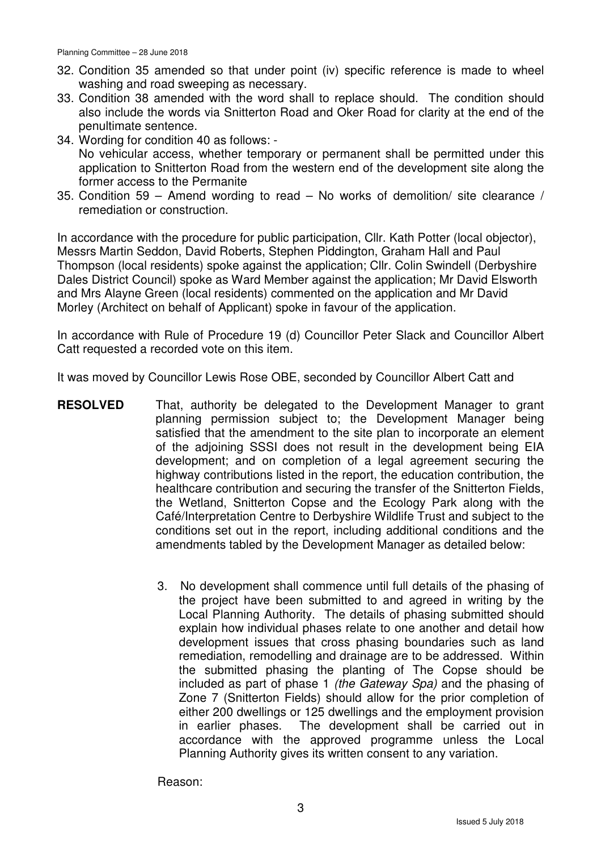- 32. Condition 35 amended so that under point (iv) specific reference is made to wheel washing and road sweeping as necessary.
- 33. Condition 38 amended with the word shall to replace should. The condition should also include the words via Snitterton Road and Oker Road for clarity at the end of the penultimate sentence.
- 34. Wording for condition 40 as follows: No vehicular access, whether temporary or permanent shall be permitted under this application to Snitterton Road from the western end of the development site along the former access to the Permanite
- 35. Condition 59 Amend wording to read No works of demolition/ site clearance / remediation or construction.

In accordance with the procedure for public participation, Cllr. Kath Potter (local objector), Messrs Martin Seddon, David Roberts, Stephen Piddington, Graham Hall and Paul Thompson (local residents) spoke against the application; Cllr. Colin Swindell (Derbyshire Dales District Council) spoke as Ward Member against the application; Mr David Elsworth and Mrs Alayne Green (local residents) commented on the application and Mr David Morley (Architect on behalf of Applicant) spoke in favour of the application.

In accordance with Rule of Procedure 19 (d) Councillor Peter Slack and Councillor Albert Catt requested a recorded vote on this item.

It was moved by Councillor Lewis Rose OBE, seconded by Councillor Albert Catt and

- **RESOLVED** That, authority be delegated to the Development Manager to grant planning permission subject to; the Development Manager being satisfied that the amendment to the site plan to incorporate an element of the adjoining SSSI does not result in the development being EIA development; and on completion of a legal agreement securing the highway contributions listed in the report, the education contribution, the healthcare contribution and securing the transfer of the Snitterton Fields, the Wetland, Snitterton Copse and the Ecology Park along with the Café/Interpretation Centre to Derbyshire Wildlife Trust and subject to the conditions set out in the report, including additional conditions and the amendments tabled by the Development Manager as detailed below:
	- 3. No development shall commence until full details of the phasing of the project have been submitted to and agreed in writing by the Local Planning Authority. The details of phasing submitted should explain how individual phases relate to one another and detail how development issues that cross phasing boundaries such as land remediation, remodelling and drainage are to be addressed. Within the submitted phasing the planting of The Copse should be included as part of phase 1 (the Gateway Spa) and the phasing of Zone 7 (Snitterton Fields) should allow for the prior completion of either 200 dwellings or 125 dwellings and the employment provision in earlier phases. The development shall be carried out in accordance with the approved programme unless the Local Planning Authority gives its written consent to any variation.

Reason: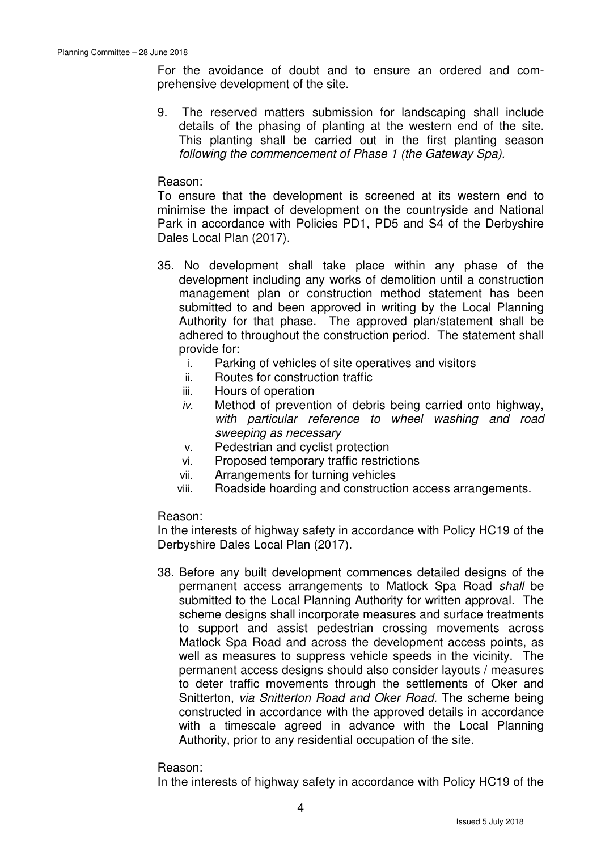For the avoidance of doubt and to ensure an ordered and comprehensive development of the site.

9. The reserved matters submission for landscaping shall include details of the phasing of planting at the western end of the site. This planting shall be carried out in the first planting season following the commencement of Phase 1 (the Gateway Spa).

## Reason:

To ensure that the development is screened at its western end to minimise the impact of development on the countryside and National Park in accordance with Policies PD1, PD5 and S4 of the Derbyshire Dales Local Plan (2017).

- 35. No development shall take place within any phase of the development including any works of demolition until a construction management plan or construction method statement has been submitted to and been approved in writing by the Local Planning Authority for that phase. The approved plan/statement shall be adhered to throughout the construction period. The statement shall provide for:
	- i. Parking of vehicles of site operatives and visitors
	- ii. Routes for construction traffic
	- iii. Hours of operation
	- $iv.$  Method of prevention of debris being carried onto highway, with particular reference to wheel washing and road sweeping as necessary
	- v. Pedestrian and cyclist protection
	- vi. Proposed temporary traffic restrictions
	- vii. Arrangements for turning vehicles
	- viii. Roadside hoarding and construction access arrangements.

## Reason:

In the interests of highway safety in accordance with Policy HC19 of the Derbyshire Dales Local Plan (2017).

38. Before any built development commences detailed designs of the permanent access arrangements to Matlock Spa Road shall be submitted to the Local Planning Authority for written approval. The scheme designs shall incorporate measures and surface treatments to support and assist pedestrian crossing movements across Matlock Spa Road and across the development access points, as well as measures to suppress vehicle speeds in the vicinity. The permanent access designs should also consider layouts / measures to deter traffic movements through the settlements of Oker and Snitterton, via Snitterton Road and Oker Road. The scheme being constructed in accordance with the approved details in accordance with a timescale agreed in advance with the Local Planning Authority, prior to any residential occupation of the site.

## Reason:

In the interests of highway safety in accordance with Policy HC19 of the